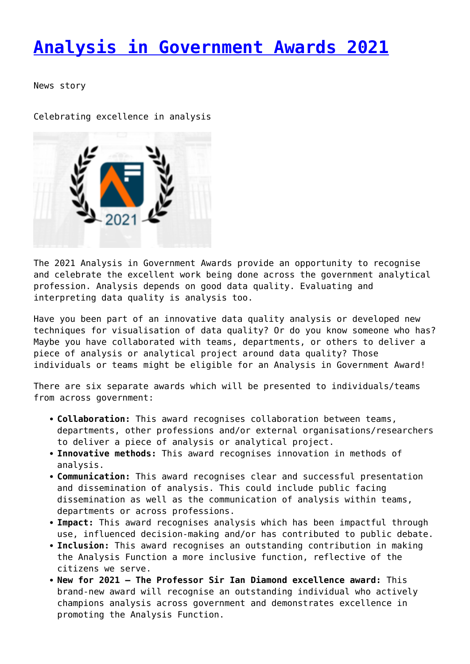## **[Analysis in Government Awards 2021](http://www.government-world.com/analysis-in-government-awards-2021-2/)**

News story

Celebrating excellence in analysis



The 2021 Analysis in Government Awards provide an opportunity to recognise and celebrate the excellent work being done across the government analytical profession. Analysis depends on good data quality. Evaluating and interpreting data quality is analysis too.

Have you been part of an innovative data quality analysis or developed new techniques for visualisation of data quality? Or do you know someone who has? Maybe you have collaborated with teams, departments, or others to deliver a piece of analysis or analytical project around data quality? Those individuals or teams might be eligible for an Analysis in Government Award!

There are six separate awards which will be presented to individuals/teams from across government:

- **Collaboration:** This award recognises collaboration between teams, departments, other professions and/or external organisations/researchers to deliver a piece of analysis or analytical project.
- **Innovative methods:** This award recognises innovation in methods of analysis.
- **Communication:** This award recognises clear and successful presentation and dissemination of analysis. This could include public facing dissemination as well as the communication of analysis within teams, departments or across professions.
- **Impact:** This award recognises analysis which has been impactful through use, influenced decision-making and/or has contributed to public debate.
- **Inclusion:** This award recognises an outstanding contribution in making the Analysis Function a more inclusive function, reflective of the citizens we serve.
- **New for 2021 The Professor Sir Ian Diamond excellence award:** This brand-new award will recognise an outstanding individual who actively champions analysis across government and demonstrates excellence in promoting the Analysis Function.